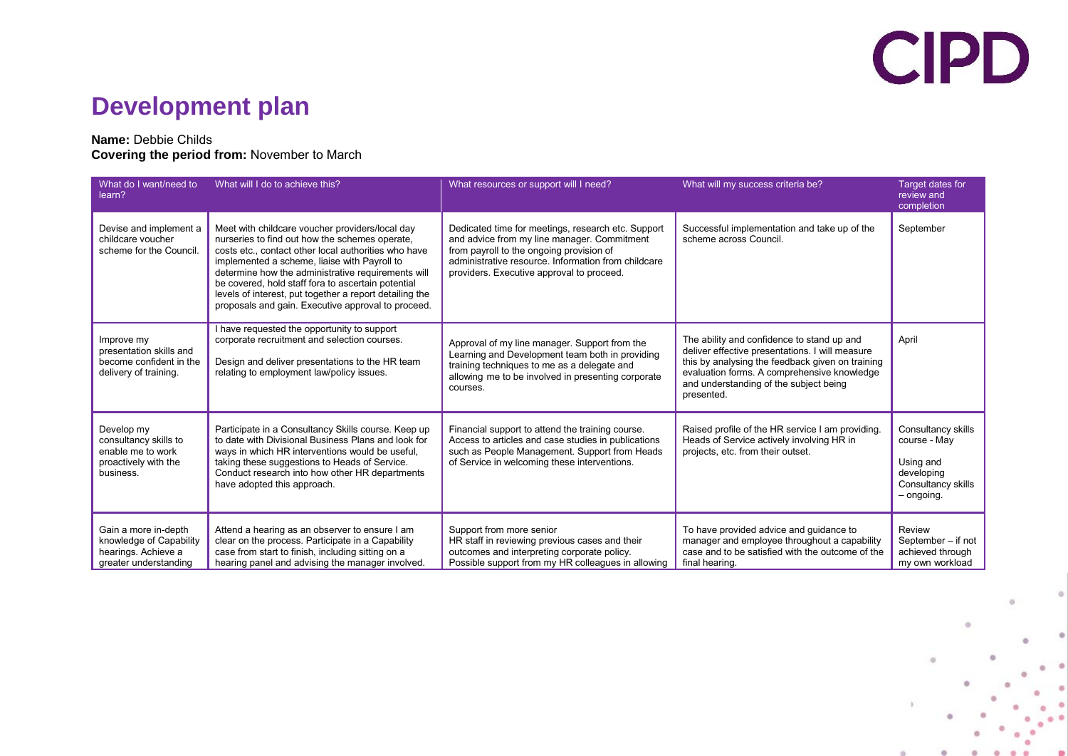### **Development plan**

#### **Name:** Debbie Childs

#### **Covering the period from:** November to March

| What do I want/need to<br>learn?                                                                | What will I do to achieve this?                                                                                                                                                                                                                                                                                                                                                                                                        | What resources or support will I need?                                                                                                                                                                                                            | What will my success criteria be?                                                                                                                                                                                                                        | Target dates for<br>review and<br>completion                                                      |
|-------------------------------------------------------------------------------------------------|----------------------------------------------------------------------------------------------------------------------------------------------------------------------------------------------------------------------------------------------------------------------------------------------------------------------------------------------------------------------------------------------------------------------------------------|---------------------------------------------------------------------------------------------------------------------------------------------------------------------------------------------------------------------------------------------------|----------------------------------------------------------------------------------------------------------------------------------------------------------------------------------------------------------------------------------------------------------|---------------------------------------------------------------------------------------------------|
| Devise and implement a<br>childcare voucher<br>scheme for the Council.                          | Meet with childcare voucher providers/local day<br>nurseries to find out how the schemes operate.<br>costs etc., contact other local authorities who have<br>implemented a scheme, liaise with Payroll to<br>determine how the administrative requirements will<br>be covered, hold staff fora to ascertain potential<br>levels of interest, put together a report detailing the<br>proposals and gain. Executive approval to proceed. | Dedicated time for meetings, research etc. Support<br>and advice from my line manager. Commitment<br>from payroll to the ongoing provision of<br>administrative resource. Information from childcare<br>providers. Executive approval to proceed. | Successful implementation and take up of the<br>scheme across Council.                                                                                                                                                                                   | September                                                                                         |
| Improve my<br>presentation skills and<br>become confident in the<br>delivery of training.       | I have requested the opportunity to support<br>corporate recruitment and selection courses.<br>Design and deliver presentations to the HR team<br>relating to employment law/policy issues.                                                                                                                                                                                                                                            | Approval of my line manager. Support from the<br>Learning and Development team both in providing<br>training techniques to me as a delegate and<br>allowing me to be involved in presenting corporate<br>courses.                                 | The ability and confidence to stand up and<br>deliver effective presentations. I will measure<br>this by analysing the feedback given on training<br>evaluation forms. A comprehensive knowledge<br>and understanding of the subject being<br>presented. | April                                                                                             |
| Develop my<br>consultancy skills to<br>enable me to work<br>proactively with the<br>business.   | Participate in a Consultancy Skills course. Keep up<br>to date with Divisional Business Plans and look for<br>ways in which HR interventions would be useful.<br>taking these suggestions to Heads of Service.<br>Conduct research into how other HR departments<br>have adopted this approach.                                                                                                                                        | Financial support to attend the training course.<br>Access to articles and case studies in publications<br>such as People Management. Support from Heads<br>of Service in welcoming these interventions.                                          | Raised profile of the HR service I am providing.<br>Heads of Service actively involving HR in<br>projects, etc. from their outset.                                                                                                                       | Consultancy skills<br>course - May<br>Using and<br>developing<br>Consultancy skills<br>- ongoing. |
| Gain a more in-depth<br>knowledge of Capability<br>hearings. Achieve a<br>greater understanding | Attend a hearing as an observer to ensure I am<br>clear on the process. Participate in a Capability<br>case from start to finish, including sitting on a<br>hearing panel and advising the manager involved.                                                                                                                                                                                                                           | Support from more senior<br>HR staff in reviewing previous cases and their<br>outcomes and interpreting corporate policy.<br>Possible support from my HR colleagues in allowing                                                                   | To have provided advice and guidance to<br>manager and employee throughout a capability<br>case and to be satisfied with the outcome of the<br>final hearing.                                                                                            | Review<br>September - if not<br>achieved through<br>my own workload                               |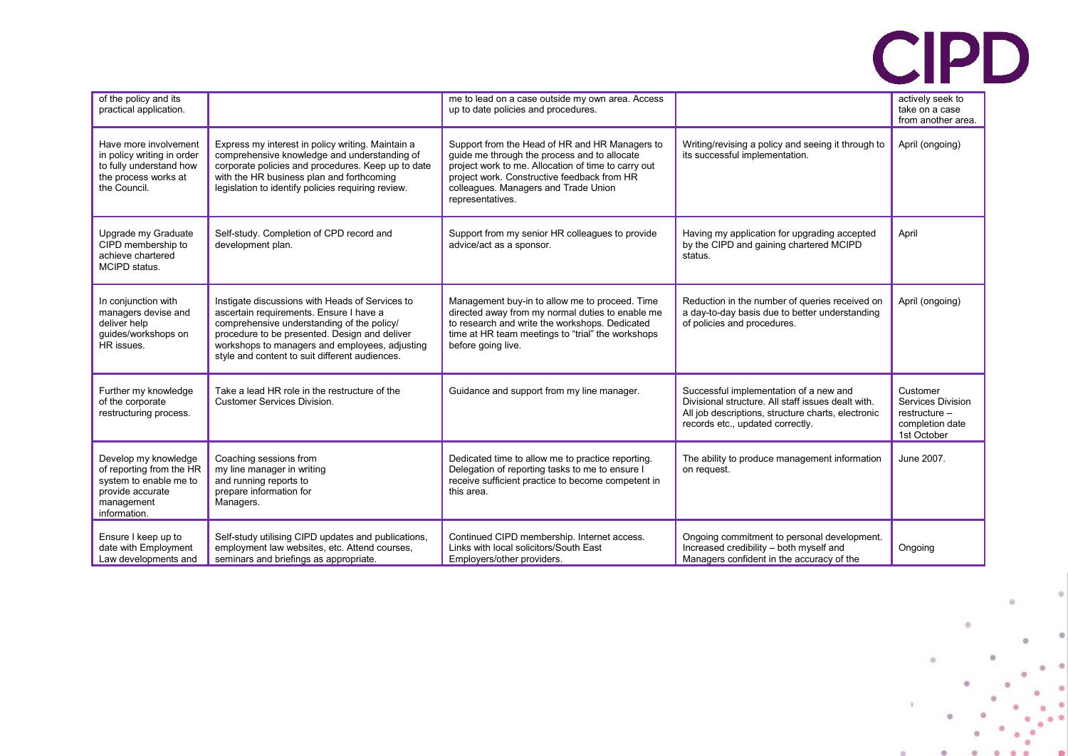|  | of the policy and its<br>practical application.                                                                              |                                                                                                                                                                                                                                                                                               | me to lead on a case outside my own area. Access<br>up to date policies and procedures.                                                                                                                                                                          |                                                                                                                                                                                        | actively seek to<br>take on a case<br>from another area.                         |
|--|------------------------------------------------------------------------------------------------------------------------------|-----------------------------------------------------------------------------------------------------------------------------------------------------------------------------------------------------------------------------------------------------------------------------------------------|------------------------------------------------------------------------------------------------------------------------------------------------------------------------------------------------------------------------------------------------------------------|----------------------------------------------------------------------------------------------------------------------------------------------------------------------------------------|----------------------------------------------------------------------------------|
|  | Have more involvement<br>in policy writing in order<br>to fully understand how<br>the process works at<br>the Council.       | Express my interest in policy writing. Maintain a<br>comprehensive knowledge and understanding of<br>corporate policies and procedures. Keep up to date<br>with the HR business plan and forthcoming<br>legislation to identify policies requiring review.                                    | Support from the Head of HR and HR Managers to<br>guide me through the process and to allocate<br>project work to me. Allocation of time to carry out<br>project work. Constructive feedback from HR<br>colleagues. Managers and Trade Union<br>representatives. | Writing/revising a policy and seeing it through to<br>its successful implementation.                                                                                                   | April (ongoing)                                                                  |
|  | Upgrade my Graduate<br>CIPD membership to<br>achieve chartered<br>MCIPD status.                                              | Self-study. Completion of CPD record and<br>development plan.                                                                                                                                                                                                                                 | Support from my senior HR colleagues to provide<br>advice/act as a sponsor.                                                                                                                                                                                      | Having my application for upgrading accepted<br>by the CIPD and gaining chartered MCIPD<br>status.                                                                                     | April                                                                            |
|  | In conjunction with<br>managers devise and<br>deliver help<br>guides/workshops on<br>HR issues.                              | Instigate discussions with Heads of Services to<br>ascertain requirements. Ensure I have a<br>comprehensive understanding of the policy/<br>procedure to be presented. Design and deliver<br>workshops to managers and employees, adjusting<br>style and content to suit different audiences. | Management buy-in to allow me to proceed. Time<br>directed away from my normal duties to enable me<br>to research and write the workshops. Dedicated<br>time at HR team meetings to "trial" the workshops<br>before going live.                                  | Reduction in the number of queries received on<br>a day-to-day basis due to better understanding<br>of policies and procedures.                                                        | April (ongoing)                                                                  |
|  | Further my knowledge<br>of the corporate<br>restructuring process.                                                           | Take a lead HR role in the restructure of the<br><b>Customer Services Division.</b>                                                                                                                                                                                                           | Guidance and support from my line manager.                                                                                                                                                                                                                       | Successful implementation of a new and<br>Divisional structure. All staff issues dealt with.<br>All job descriptions, structure charts, electronic<br>records etc., updated correctly. | Customer<br>Services Division<br>restructure -<br>completion date<br>1st October |
|  | Develop my knowledge<br>of reporting from the HR<br>system to enable me to<br>provide accurate<br>management<br>information. | Coaching sessions from<br>my line manager in writing<br>and running reports to<br>prepare information for<br>Managers.                                                                                                                                                                        | Dedicated time to allow me to practice reporting.<br>Delegation of reporting tasks to me to ensure I<br>receive sufficient practice to become competent in<br>this area.                                                                                         | The ability to produce management information<br>on request.                                                                                                                           | June 2007.                                                                       |
|  | Ensure I keep up to<br>date with Employment<br>Law developments and                                                          | Self-study utilising CIPD updates and publications,<br>employment law websites, etc. Attend courses,<br>seminars and briefings as appropriate.                                                                                                                                                | Continued CIPD membership. Internet access.<br>Links with local solicitors/South East<br>Employers/other providers.                                                                                                                                              | Ongoing commitment to personal development.<br>Increased credibility - both myself and<br>Managers confident in the accuracy of the                                                    | Ongoing                                                                          |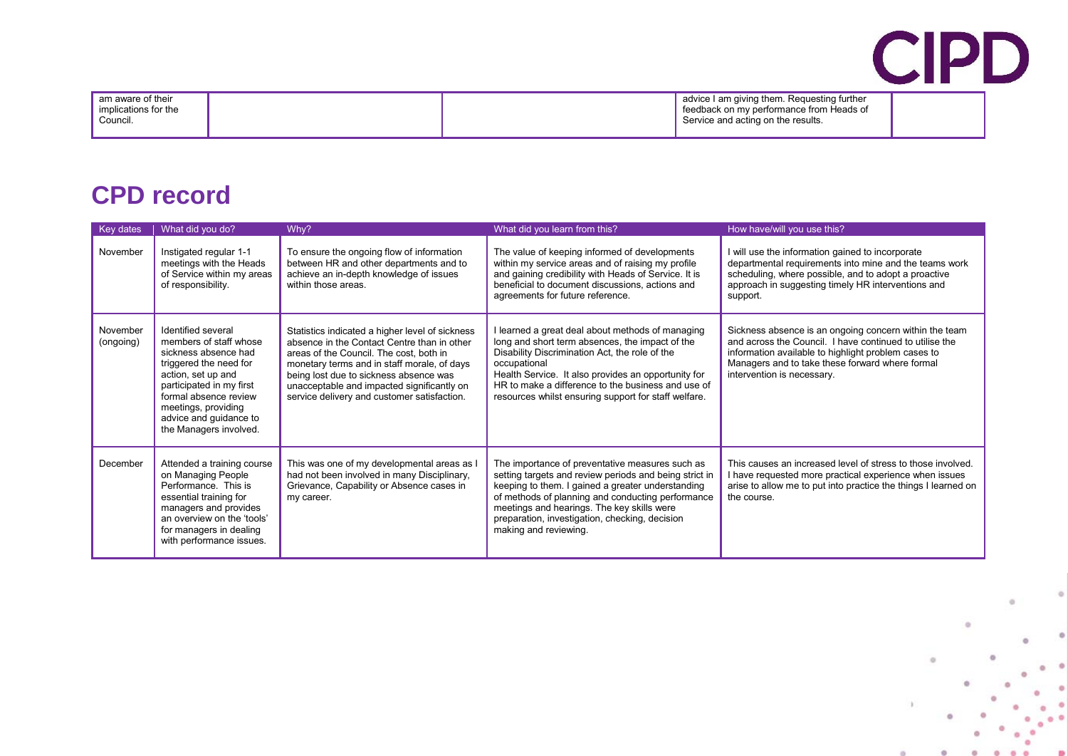| am aware of their<br>implications for the |  | advice I am giving them. Reguesting further<br>'feedback on my performance from Heads of |  |
|-------------------------------------------|--|------------------------------------------------------------------------------------------|--|
| Council.                                  |  | Service and acting on the results.                                                       |  |

### **CPD record**

| Key dates             | What did you do?                                                                                                                                                                                                                                     | Why?                                                                                                                                                                                                                                                                                                                            | What did you learn from this?                                                                                                                                                                                                                                                                                                                | How have/will you use this?                                                                                                                                                                                                                               |
|-----------------------|------------------------------------------------------------------------------------------------------------------------------------------------------------------------------------------------------------------------------------------------------|---------------------------------------------------------------------------------------------------------------------------------------------------------------------------------------------------------------------------------------------------------------------------------------------------------------------------------|----------------------------------------------------------------------------------------------------------------------------------------------------------------------------------------------------------------------------------------------------------------------------------------------------------------------------------------------|-----------------------------------------------------------------------------------------------------------------------------------------------------------------------------------------------------------------------------------------------------------|
| November              | Instigated regular 1-1<br>meetings with the Heads<br>of Service within my areas<br>of responsibility.                                                                                                                                                | To ensure the ongoing flow of information<br>between HR and other departments and to<br>achieve an in-depth knowledge of issues<br>within those areas.                                                                                                                                                                          | The value of keeping informed of developments<br>within my service areas and of raising my profile<br>and gaining credibility with Heads of Service. It is<br>beneficial to document discussions, actions and<br>agreements for future reference.                                                                                            | I will use the information gained to incorporate<br>departmental requirements into mine and the teams work<br>scheduling, where possible, and to adopt a proactive<br>approach in suggesting timely HR interventions and<br>support.                      |
| November<br>(ongoing) | Identified several<br>members of staff whose<br>sickness absence had<br>triggered the need for<br>action, set up and<br>participated in my first<br>formal absence review<br>meetings, providing<br>advice and guidance to<br>the Managers involved. | Statistics indicated a higher level of sickness<br>absence in the Contact Centre than in other<br>areas of the Council. The cost, both in<br>monetary terms and in staff morale, of days<br>being lost due to sickness absence was<br>unacceptable and impacted significantly on<br>service delivery and customer satisfaction. | learned a great deal about methods of managing<br>long and short term absences, the impact of the<br>Disability Discrimination Act, the role of the<br>occupational<br>Health Service. It also provides an opportunity for<br>HR to make a difference to the business and use of<br>resources whilst ensuring support for staff welfare.     | Sickness absence is an ongoing concern within the team<br>and across the Council. I have continued to utilise the<br>information available to highlight problem cases to<br>Managers and to take these forward where formal<br>intervention is necessary. |
| December              | Attended a training course<br>on Managing People<br>Performance. This is<br>essential training for<br>managers and provides<br>an overview on the 'tools'<br>for managers in dealing<br>with performance issues.                                     | This was one of my developmental areas as I<br>had not been involved in many Disciplinary,<br>Grievance, Capability or Absence cases in<br>my career.                                                                                                                                                                           | The importance of preventative measures such as<br>setting targets and review periods and being strict in<br>keeping to them. I gained a greater understanding<br>of methods of planning and conducting performance<br>meetings and hearings. The key skills were<br>preparation, investigation, checking, decision<br>making and reviewing. | This causes an increased level of stress to those involved.<br>I have requested more practical experience when issues<br>arise to allow me to put into practice the things I learned on<br>the course.                                                    |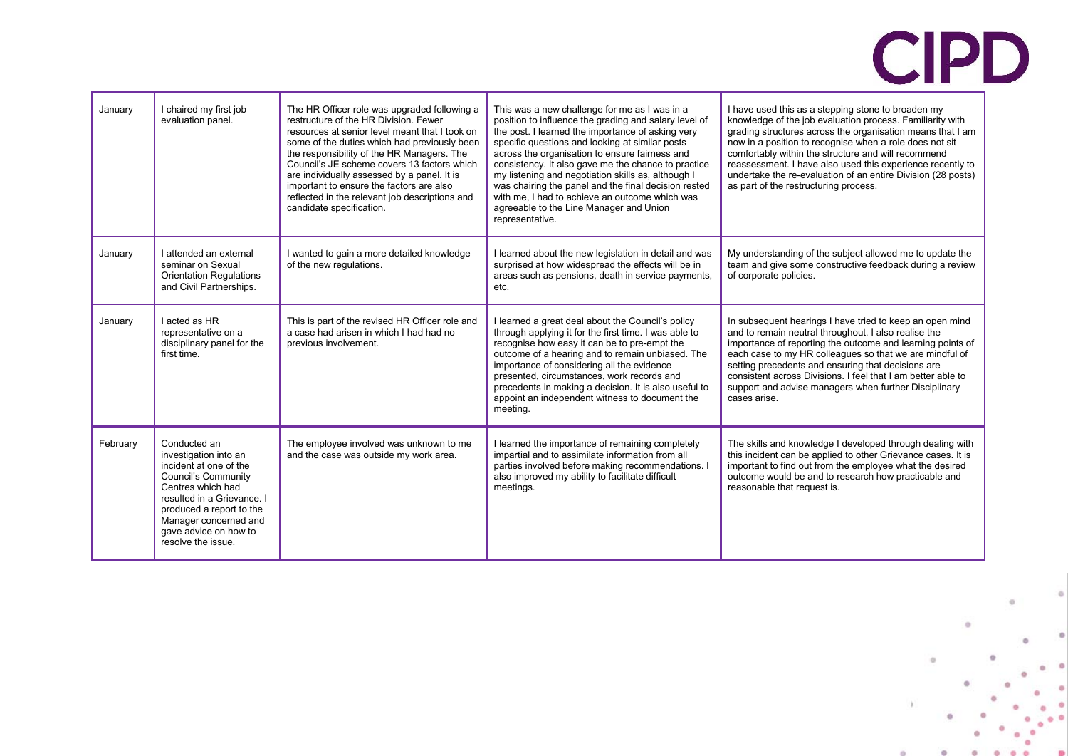| January  | I chaired my first job<br>evaluation panel.                                                                                                                                                                                                   | The HR Officer role was upgraded following a<br>restructure of the HR Division. Fewer<br>resources at senior level meant that I took on<br>some of the duties which had previously been<br>the responsibility of the HR Managers. The<br>Council's JE scheme covers 13 factors which<br>are individually assessed by a panel. It is<br>important to ensure the factors are also<br>reflected in the relevant job descriptions and<br>candidate specification. | This was a new challenge for me as I was in a<br>position to influence the grading and salary level of<br>the post. I learned the importance of asking very<br>specific questions and looking at similar posts<br>across the organisation to ensure fairness and<br>consistency. It also gave me the chance to practice<br>my listening and negotiation skills as, although I<br>was chairing the panel and the final decision rested<br>with me, I had to achieve an outcome which was<br>agreeable to the Line Manager and Union<br>representative. | I have used this as a stepping stone to broaden my<br>knowledge of the job evaluation process. Familiarity with<br>grading structures across the organisation means that I am<br>now in a position to recognise when a role does not sit<br>comfortably within the structure and will recommend<br>reassessment. I have also used this experience recently to<br>undertake the re-evaluation of an entire Division (28 posts)<br>as part of the restructuring process. |
|----------|-----------------------------------------------------------------------------------------------------------------------------------------------------------------------------------------------------------------------------------------------|---------------------------------------------------------------------------------------------------------------------------------------------------------------------------------------------------------------------------------------------------------------------------------------------------------------------------------------------------------------------------------------------------------------------------------------------------------------|-------------------------------------------------------------------------------------------------------------------------------------------------------------------------------------------------------------------------------------------------------------------------------------------------------------------------------------------------------------------------------------------------------------------------------------------------------------------------------------------------------------------------------------------------------|------------------------------------------------------------------------------------------------------------------------------------------------------------------------------------------------------------------------------------------------------------------------------------------------------------------------------------------------------------------------------------------------------------------------------------------------------------------------|
| January  | I attended an external<br>seminar on Sexual<br><b>Orientation Requlations</b><br>and Civil Partnerships.                                                                                                                                      | I wanted to gain a more detailed knowledge<br>of the new regulations.                                                                                                                                                                                                                                                                                                                                                                                         | I learned about the new legislation in detail and was<br>surprised at how widespread the effects will be in<br>areas such as pensions, death in service payments,<br>etc.                                                                                                                                                                                                                                                                                                                                                                             | My understanding of the subject allowed me to update the<br>team and give some constructive feedback during a review<br>of corporate policies.                                                                                                                                                                                                                                                                                                                         |
| January  | I acted as HR<br>representative on a<br>disciplinary panel for the<br>first time.                                                                                                                                                             | This is part of the revised HR Officer role and<br>a case had arisen in which I had had no<br>previous involvement.                                                                                                                                                                                                                                                                                                                                           | I learned a great deal about the Council's policy<br>through applying it for the first time. I was able to<br>recognise how easy it can be to pre-empt the<br>outcome of a hearing and to remain unbiased. The<br>importance of considering all the evidence<br>presented, circumstances, work records and<br>precedents in making a decision. It is also useful to<br>appoint an independent witness to document the<br>meeting.                                                                                                                     | In subsequent hearings I have tried to keep an open mind<br>and to remain neutral throughout. I also realise the<br>importance of reporting the outcome and learning points of<br>each case to my HR colleagues so that we are mindful of<br>setting precedents and ensuring that decisions are<br>consistent across Divisions. I feel that I am better able to<br>support and advise managers when further Disciplinary<br>cases arise.                               |
| February | Conducted an<br>investigation into an<br>incident at one of the<br>Council's Community<br>Centres which had<br>resulted in a Grievance. I<br>produced a report to the<br>Manager concerned and<br>gave advice on how to<br>resolve the issue. | The employee involved was unknown to me<br>and the case was outside my work area.                                                                                                                                                                                                                                                                                                                                                                             | I learned the importance of remaining completely<br>impartial and to assimilate information from all<br>parties involved before making recommendations. I<br>also improved my ability to facilitate difficult<br>meetings.                                                                                                                                                                                                                                                                                                                            | The skills and knowledge I developed through dealing with<br>this incident can be applied to other Grievance cases. It is<br>important to find out from the employee what the desired<br>outcome would be and to research how practicable and<br>reasonable that request is.                                                                                                                                                                                           |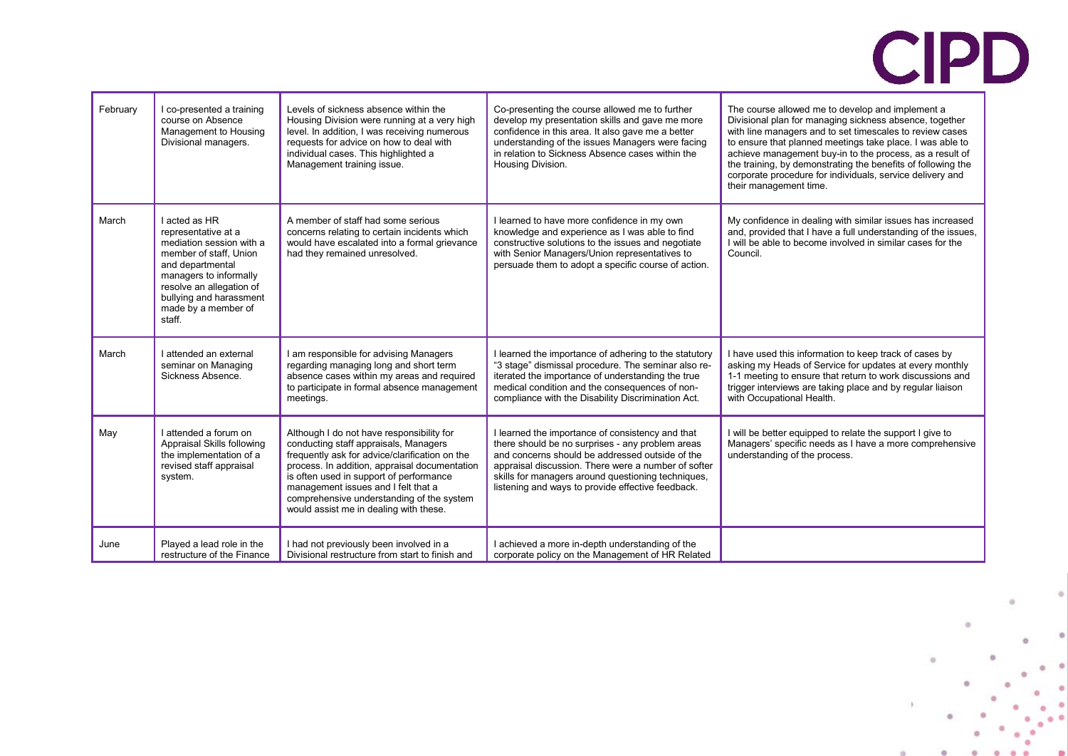| February | I co-presented a training<br>course on Absence<br>Management to Housing<br>Divisional managers.                                                                                                                                  | Levels of sickness absence within the<br>Housing Division were running at a very high<br>level. In addition, I was receiving numerous<br>requests for advice on how to deal with<br>individual cases. This highlighted a<br>Management training issue.                                                                                                         | Co-presenting the course allowed me to further<br>develop my presentation skills and gave me more<br>confidence in this area. It also gave me a better<br>understanding of the issues Managers were facing<br>in relation to Sickness Absence cases within the<br>Housing Division.                                       | The course allowed me to develop and implement a<br>Divisional plan for managing sickness absence, together<br>with line managers and to set timescales to review cases<br>to ensure that planned meetings take place. I was able to<br>achieve management buy-in to the process, as a result of<br>the training, by demonstrating the benefits of following the<br>corporate procedure for individuals, service delivery and<br>their management time. |
|----------|----------------------------------------------------------------------------------------------------------------------------------------------------------------------------------------------------------------------------------|----------------------------------------------------------------------------------------------------------------------------------------------------------------------------------------------------------------------------------------------------------------------------------------------------------------------------------------------------------------|---------------------------------------------------------------------------------------------------------------------------------------------------------------------------------------------------------------------------------------------------------------------------------------------------------------------------|---------------------------------------------------------------------------------------------------------------------------------------------------------------------------------------------------------------------------------------------------------------------------------------------------------------------------------------------------------------------------------------------------------------------------------------------------------|
| March    | I acted as HR<br>representative at a<br>mediation session with a<br>member of staff, Union<br>and departmental<br>managers to informally<br>resolve an allegation of<br>bullying and harassment<br>made by a member of<br>staff. | A member of staff had some serious<br>concerns relating to certain incidents which<br>would have escalated into a formal grievance<br>had they remained unresolved.                                                                                                                                                                                            | I learned to have more confidence in my own<br>knowledge and experience as I was able to find<br>constructive solutions to the issues and negotiate<br>with Senior Managers/Union representatives to<br>persuade them to adopt a specific course of action.                                                               | My confidence in dealing with similar issues has increased<br>and, provided that I have a full understanding of the issues,<br>I will be able to become involved in similar cases for the<br>Council.                                                                                                                                                                                                                                                   |
| March    | I attended an external<br>seminar on Managing<br>Sickness Absence.                                                                                                                                                               | I am responsible for advising Managers<br>regarding managing long and short term<br>absence cases within my areas and required<br>to participate in formal absence management<br>meetings.                                                                                                                                                                     | I learned the importance of adhering to the statutory<br>"3 stage" dismissal procedure. The seminar also re-<br>iterated the importance of understanding the true<br>medical condition and the consequences of non-<br>compliance with the Disability Discrimination Act.                                                 | I have used this information to keep track of cases by<br>asking my Heads of Service for updates at every monthly<br>1-1 meeting to ensure that return to work discussions and<br>trigger interviews are taking place and by regular liaison<br>with Occupational Health.                                                                                                                                                                               |
| May      | I attended a forum on<br>Appraisal Skills following<br>the implementation of a<br>revised staff appraisal<br>system.                                                                                                             | Although I do not have responsibility for<br>conducting staff appraisals, Managers<br>frequently ask for advice/clarification on the<br>process. In addition, appraisal documentation<br>is often used in support of performance<br>management issues and I felt that a<br>comprehensive understanding of the system<br>would assist me in dealing with these. | I learned the importance of consistency and that<br>there should be no surprises - any problem areas<br>and concerns should be addressed outside of the<br>appraisal discussion. There were a number of softer<br>skills for managers around questioning techniques,<br>listening and ways to provide effective feedback. | I will be better equipped to relate the support I give to<br>Managers' specific needs as I have a more comprehensive<br>understanding of the process.                                                                                                                                                                                                                                                                                                   |
| June     | Played a lead role in the<br>restructure of the Finance                                                                                                                                                                          | I had not previously been involved in a<br>Divisional restructure from start to finish and                                                                                                                                                                                                                                                                     | I achieved a more in-depth understanding of the<br>corporate policy on the Management of HR Related                                                                                                                                                                                                                       |                                                                                                                                                                                                                                                                                                                                                                                                                                                         |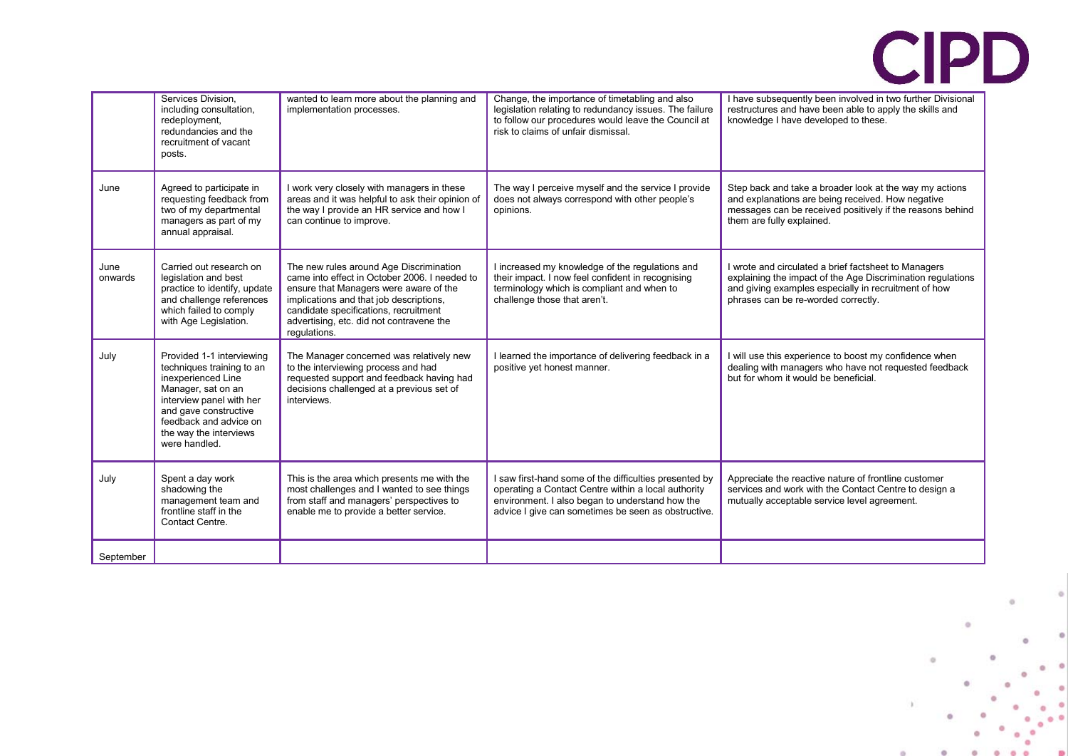|                 | Services Division.<br>including consultation,<br>redeployment,<br>redundancies and the<br>recruitment of vacant<br>posts.                                                                                                    | wanted to learn more about the planning and<br>implementation processes.                                                                                                                                                                                                           | Change, the importance of timetabling and also<br>legislation relating to redundancy issues. The failure<br>to follow our procedures would leave the Council at<br>risk to claims of unfair dismissal.                  | I have subsequently been involved in two further Divisional<br>restructures and have been able to apply the skills and<br>knowledge I have developed to these.                                                     |
|-----------------|------------------------------------------------------------------------------------------------------------------------------------------------------------------------------------------------------------------------------|------------------------------------------------------------------------------------------------------------------------------------------------------------------------------------------------------------------------------------------------------------------------------------|-------------------------------------------------------------------------------------------------------------------------------------------------------------------------------------------------------------------------|--------------------------------------------------------------------------------------------------------------------------------------------------------------------------------------------------------------------|
| June            | Agreed to participate in<br>requesting feedback from<br>two of my departmental<br>managers as part of my<br>annual appraisal.                                                                                                | I work very closely with managers in these<br>areas and it was helpful to ask their opinion of<br>the way I provide an HR service and how I<br>can continue to improve.                                                                                                            | The way I perceive myself and the service I provide<br>does not always correspond with other people's<br>opinions.                                                                                                      | Step back and take a broader look at the way my actions<br>and explanations are being received. How negative<br>messages can be received positively if the reasons behind<br>them are fully explained.             |
| June<br>onwards | Carried out research on<br>legislation and best<br>practice to identify, update<br>and challenge references<br>which failed to comply<br>with Age Legislation.                                                               | The new rules around Age Discrimination<br>came into effect in October 2006. I needed to<br>ensure that Managers were aware of the<br>implications and that job descriptions,<br>candidate specifications, recruitment<br>advertising, etc. did not contravene the<br>regulations. | I increased my knowledge of the regulations and<br>their impact. I now feel confident in recognising<br>terminology which is compliant and when to<br>challenge those that aren't.                                      | I wrote and circulated a brief factsheet to Managers<br>explaining the impact of the Age Discrimination regulations<br>and giving examples especially in recruitment of how<br>phrases can be re-worded correctly. |
| July            | Provided 1-1 interviewing<br>techniques training to an<br>inexperienced Line<br>Manager, sat on an<br>interview panel with her<br>and gave constructive<br>feedback and advice on<br>the way the interviews<br>were handled. | The Manager concerned was relatively new<br>to the interviewing process and had<br>requested support and feedback having had<br>decisions challenged at a previous set of<br>interviews.                                                                                           | I learned the importance of delivering feedback in a<br>positive yet honest manner.                                                                                                                                     | I will use this experience to boost my confidence when<br>dealing with managers who have not requested feedback<br>but for whom it would be beneficial.                                                            |
| July            | Spent a day work<br>shadowing the<br>management team and<br>frontline staff in the<br>Contact Centre.                                                                                                                        | This is the area which presents me with the<br>most challenges and I wanted to see things<br>from staff and managers' perspectives to<br>enable me to provide a better service.                                                                                                    | I saw first-hand some of the difficulties presented by<br>operating a Contact Centre within a local authority<br>environment. I also began to understand how the<br>advice I give can sometimes be seen as obstructive. | Appreciate the reactive nature of frontline customer<br>services and work with the Contact Centre to design a<br>mutually acceptable service level agreement.                                                      |
| September       |                                                                                                                                                                                                                              |                                                                                                                                                                                                                                                                                    |                                                                                                                                                                                                                         |                                                                                                                                                                                                                    |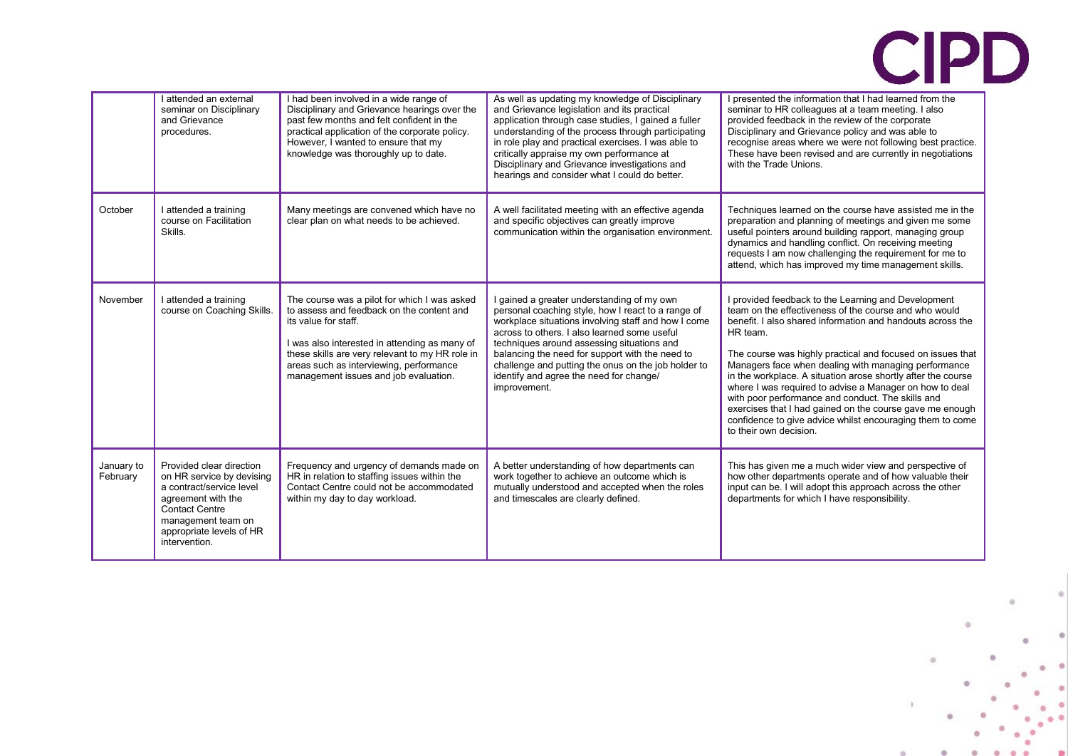|                        | I attended an external<br>seminar on Disciplinary<br>and Grievance<br>procedures.                                                                                                                   | I had been involved in a wide range of<br>Disciplinary and Grievance hearings over the<br>past few months and felt confident in the<br>practical application of the corporate policy.<br>However, I wanted to ensure that my<br>knowledge was thoroughly up to date.                                    | As well as updating my knowledge of Disciplinary<br>and Grievance legislation and its practical<br>application through case studies, I gained a fuller<br>understanding of the process through participating<br>in role play and practical exercises. I was able to<br>critically appraise my own performance at<br>Disciplinary and Grievance investigations and<br>hearings and consider what I could do better.         | I presented the information that I had learned from the<br>seminar to HR colleagues at a team meeting. I also<br>provided feedback in the review of the corporate<br>Disciplinary and Grievance policy and was able to<br>recognise areas where we were not following best practice.<br>These have been revised and are currently in negotiations<br>with the Trade Unions.                                                                                                                                                                                                                                                                     |
|------------------------|-----------------------------------------------------------------------------------------------------------------------------------------------------------------------------------------------------|---------------------------------------------------------------------------------------------------------------------------------------------------------------------------------------------------------------------------------------------------------------------------------------------------------|----------------------------------------------------------------------------------------------------------------------------------------------------------------------------------------------------------------------------------------------------------------------------------------------------------------------------------------------------------------------------------------------------------------------------|-------------------------------------------------------------------------------------------------------------------------------------------------------------------------------------------------------------------------------------------------------------------------------------------------------------------------------------------------------------------------------------------------------------------------------------------------------------------------------------------------------------------------------------------------------------------------------------------------------------------------------------------------|
| October                | I attended a training<br>course on Facilitation<br>Skills.                                                                                                                                          | Many meetings are convened which have no<br>clear plan on what needs to be achieved.                                                                                                                                                                                                                    | A well facilitated meeting with an effective agenda<br>and specific objectives can greatly improve<br>communication within the organisation environment.                                                                                                                                                                                                                                                                   | Techniques learned on the course have assisted me in the<br>preparation and planning of meetings and given me some<br>useful pointers around building rapport, managing group<br>dynamics and handling conflict. On receiving meeting<br>requests I am now challenging the requirement for me to<br>attend, which has improved my time management skills.                                                                                                                                                                                                                                                                                       |
| November               | I attended a training<br>course on Coaching Skills.                                                                                                                                                 | The course was a pilot for which I was asked<br>to assess and feedback on the content and<br>its value for staff.<br>was also interested in attending as many of<br>these skills are very relevant to my HR role in<br>areas such as interviewing, performance<br>management issues and job evaluation. | I gained a greater understanding of my own<br>personal coaching style, how I react to a range of<br>workplace situations involving staff and how I come<br>across to others. I also learned some useful<br>techniques around assessing situations and<br>balancing the need for support with the need to<br>challenge and putting the onus on the job holder to<br>identify and agree the need for change/<br>improvement. | I provided feedback to the Learning and Development<br>team on the effectiveness of the course and who would<br>benefit. I also shared information and handouts across the<br>HR team.<br>The course was highly practical and focused on issues that<br>Managers face when dealing with managing performance<br>in the workplace. A situation arose shortly after the course<br>where I was required to advise a Manager on how to deal<br>with poor performance and conduct. The skills and<br>exercises that I had gained on the course gave me enough<br>confidence to give advice whilst encouraging them to come<br>to their own decision. |
| January to<br>February | Provided clear direction<br>on HR service by devising<br>a contract/service level<br>agreement with the<br><b>Contact Centre</b><br>management team on<br>appropriate levels of HR<br>intervention. | Frequency and urgency of demands made on<br>HR in relation to staffing issues within the<br>Contact Centre could not be accommodated<br>within my day to day workload.                                                                                                                                  | A better understanding of how departments can<br>work together to achieve an outcome which is<br>mutually understood and accepted when the roles<br>and timescales are clearly defined.                                                                                                                                                                                                                                    | This has given me a much wider view and perspective of<br>how other departments operate and of how valuable their<br>input can be. I will adopt this approach across the other<br>departments for which I have responsibility.                                                                                                                                                                                                                                                                                                                                                                                                                  |